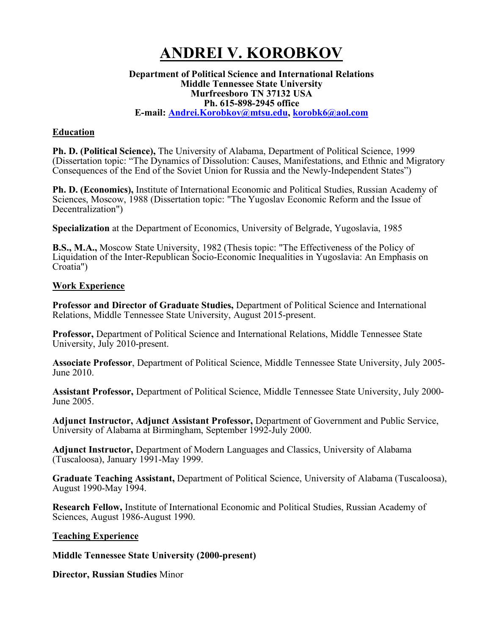# **ANDREI V. KOROBKOV**

#### **Department of Political Science and International Relations Middle Tennessee State University Murfreesboro TN 37132 USA Ph. 615-898-2945 office E-mail: Andrei.Korobkov@mtsu.edu, korobk6@aol.com**

# **Education**

**Ph. D. (Political Science),** The University of Alabama, Department of Political Science, 1999 (Dissertation topic: "The Dynamics of Dissolution: Causes, Manifestations, and Ethnic and Migratory Consequences of the End of the Soviet Union for Russia and the Newly-Independent States")

**Ph. D. (Economics),** Institute of International Economic and Political Studies, Russian Academy of Sciences, Moscow, 1988 (Dissertation topic: "The Yugoslav Economic Reform and the Issue of Decentralization")

**Specialization** at the Department of Economics, University of Belgrade, Yugoslavia, 1985

**B.S., M.A.,** Moscow State University, 1982 (Thesis topic: "The Effectiveness of the Policy of Liquidation of the Inter-Republican Socio-Economic Inequalities in Yugoslavia: An Emphasis on Croatia")

# **Work Experience**

**Professor and Director of Graduate Studies,** Department of Political Science and International Relations, Middle Tennessee State University, August 2015-present.

**Professor,** Department of Political Science and International Relations, Middle Tennessee State University, July 2010-present.

**Associate Professor**, Department of Political Science, Middle Tennessee State University, July 2005- June 2010.

**Assistant Professor,** Department of Political Science, Middle Tennessee State University, July 2000- June 2005.

**Adjunct Instructor, Adjunct Assistant Professor,** Department of Government and Public Service, University of Alabama at Birmingham, September 1992-July 2000.

**Adjunct Instructor,** Department of Modern Languages and Classics, University of Alabama (Tuscaloosa), January 1991-May 1999.

**Graduate Teaching Assistant,** Department of Political Science, University of Alabama (Tuscaloosa), August 1990-May 1994.

**Research Fellow,** Institute of International Economic and Political Studies, Russian Academy of Sciences, August 1986-August 1990.

## **Teaching Experience**

**Middle Tennessee State University (2000-present)**

**Director, Russian Studies** Minor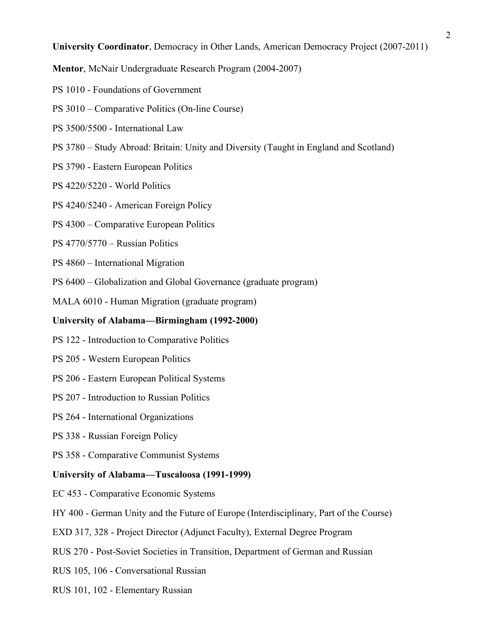**University Coordinator**, Democracy in Other Lands, American Democracy Project (2007-2011)

**Mentor**, McNair Undergraduate Research Program (2004-2007)

- PS 1010 Foundations of Government
- PS 3010 Comparative Politics (On-line Course)
- PS 3500/5500 International Law
- PS 3780 Study Abroad: Britain: Unity and Diversity (Taught in England and Scotland)
- PS 3790 Eastern European Politics
- PS 4220/5220 World Politics
- PS 4240/5240 American Foreign Policy
- PS 4300 Comparative European Politics
- PS 4770/5770 Russian Politics
- PS 4860 International Migration
- PS 6400 Globalization and Global Governance (graduate program)
- MALA 6010 Human Migration (graduate program)

#### **University of Alabama—Birmingham (1992-2000)**

- PS 122 Introduction to Comparative Politics
- PS 205 Western European Politics
- PS 206 Eastern European Political Systems
- PS 207 Introduction to Russian Politics
- PS 264 International Organizations
- PS 338 Russian Foreign Policy
- PS 358 Comparative Communist Systems

#### **University of Alabama—Tuscaloosa (1991-1999)**

- EC 453 Comparative Economic Systems
- HY 400 German Unity and the Future of Europe (Interdisciplinary, Part of the Course)
- EXD 317, 328 Project Director (Adjunct Faculty), External Degree Program
- RUS 270 Post-Soviet Societies in Transition, Department of German and Russian
- RUS 105, 106 Conversational Russian
- RUS 101, 102 Elementary Russian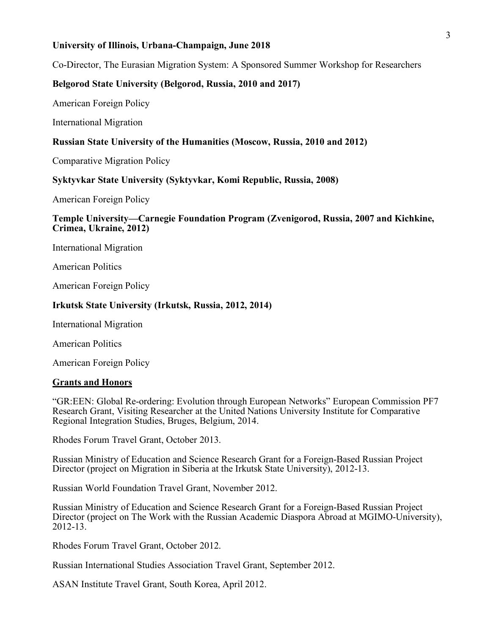#### **University of Illinois, Urbana-Champaign, June 2018**

Co-Director, The Eurasian Migration System: A Sponsored Summer Workshop for Researchers

## **Belgorod State University (Belgorod, Russia, 2010 and 2017)**

American Foreign Policy

International Migration

## **Russian State University of the Humanities (Moscow, Russia, 2010 and 2012)**

Comparative Migration Policy

#### **Syktyvkar State University (Syktyvkar, Komi Republic, Russia, 2008)**

American Foreign Policy

#### **Temple University—Carnegie Foundation Program (Zvenigorod, Russia, 2007 and Kichkine, Crimea, Ukraine, 2012)**

International Migration

American Politics

American Foreign Policy

#### **Irkutsk State University (Irkutsk, Russia, 2012, 2014)**

International Migration

American Politics

American Foreign Policy

## **Grants and Honors**

"GR:EEN: Global Re-ordering: Evolution through European Networks" European Commission PF7 Research Grant, Visiting Researcher at the United Nations University Institute for Comparative Regional Integration Studies, Bruges, Belgium, 2014.

Rhodes Forum Travel Grant, October 2013.

Russian Ministry of Education and Science Research Grant for a Foreign-Based Russian Project Director (project on Migration in Siberia at the Irkutsk State University), 2012-13.

Russian World Foundation Travel Grant, November 2012.

Russian Ministry of Education and Science Research Grant for a Foreign-Based Russian Project Director (project on The Work with the Russian Academic Diaspora Abroad at MGIMO-University), 2012-13.

Rhodes Forum Travel Grant, October 2012.

Russian International Studies Association Travel Grant, September 2012.

ASAN Institute Travel Grant, South Korea, April 2012.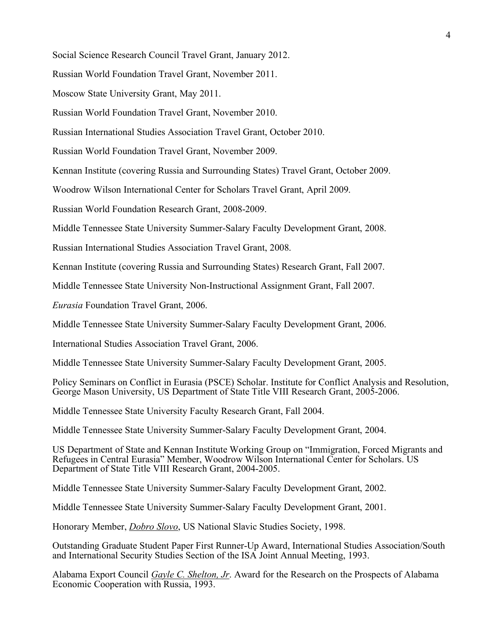Social Science Research Council Travel Grant, January 2012.

Russian World Foundation Travel Grant, November 2011.

Moscow State University Grant, May 2011.

Russian World Foundation Travel Grant, November 2010.

Russian International Studies Association Travel Grant, October 2010.

Russian World Foundation Travel Grant, November 2009.

Kennan Institute (covering Russia and Surrounding States) Travel Grant, October 2009.

Woodrow Wilson International Center for Scholars Travel Grant, April 2009.

Russian World Foundation Research Grant, 2008-2009.

Middle Tennessee State University Summer-Salary Faculty Development Grant, 2008.

Russian International Studies Association Travel Grant, 2008.

Kennan Institute (covering Russia and Surrounding States) Research Grant, Fall 2007.

Middle Tennessee State University Non-Instructional Assignment Grant, Fall 2007.

*Eurasia* Foundation Travel Grant, 2006.

Middle Tennessee State University Summer-Salary Faculty Development Grant, 2006.

International Studies Association Travel Grant, 2006.

Middle Tennessee State University Summer-Salary Faculty Development Grant, 2005.

Policy Seminars on Conflict in Eurasia (PSCE) Scholar. Institute for Conflict Analysis and Resolution, George Mason University, US Department of State Title VIII Research Grant, 2005-2006.

Middle Tennessee State University Faculty Research Grant, Fall 2004.

Middle Tennessee State University Summer-Salary Faculty Development Grant, 2004.

US Department of State and Kennan Institute Working Group on "Immigration, Forced Migrants and Refugees in Central Eurasia" Member, Woodrow Wilson International Center for Scholars. US Department of State Title VIII Research Grant, 2004-2005.

Middle Tennessee State University Summer-Salary Faculty Development Grant, 2002.

Middle Tennessee State University Summer-Salary Faculty Development Grant, 2001.

Honorary Member, *Dobro Slovo*, US National Slavic Studies Society, 1998.

Outstanding Graduate Student Paper First Runner-Up Award, International Studies Association/South and International Security Studies Section of the ISA Joint Annual Meeting, 1993.

Alabama Export Council *Gayle C. Shelton, Jr*. Award for the Research on the Prospects of Alabama Economic Cooperation with Russia, 1993.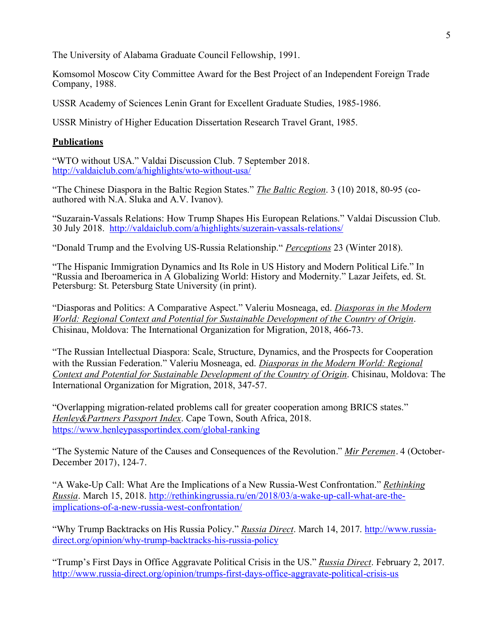The University of Alabama Graduate Council Fellowship, 1991.

Komsomol Moscow City Committee Award for the Best Project of an Independent Foreign Trade Company, 1988.

USSR Academy of Sciences Lenin Grant for Excellent Graduate Studies, 1985-1986.

USSR Ministry of Higher Education Dissertation Research Travel Grant, 1985.

# **Publications**

"WTO without USA." Valdai Discussion Club. 7 September 2018. http://valdaiclub.com/a/highlights/wto-without-usa/

"The Chinese Diaspora in the Baltic Region States." *The Baltic Region*. 3 (10) 2018, 80-95 (coauthored with N.A. Sluka and A.V. Ivanov).

"Suzarain-Vassals Relations: How Trump Shapes His European Relations." Valdai Discussion Club. 30 July 2018. http://valdaiclub.com/a/highlights/suzerain-vassals-relations/

"Donald Trump and the Evolving US-Russia Relationship." *Perceptions* 23 (Winter 2018).

"The Hispanic Immigration Dynamics and Its Role in US History and Modern Political Life." In "Russia and Iberoamerica in A Globalizing World: History and Modernity." Lazar Jeifets, ed. St. Petersburg: St. Petersburg State University (in print).

"Diasporas and Politics: A Comparative Aspect." Valeriu Mosneaga, ed. *Diasporas in the Modern World: Regional Context and Potential for Sustainable Development of the Country of Origin*. Chisinau, Moldova: The International Organization for Migration, 2018, 466-73.

"The Russian Intellectual Diaspora: Scale, Structure, Dynamics, and the Prospects for Cooperation with the Russian Federation." Valeriu Mosneaga, ed. *Diasporas in the Modern World: Regional Context and Potential for Sustainable Development of the Country of Origin*. Chisinau, Moldova: The International Organization for Migration, 2018, 347-57.

"Overlapping migration-related problems call for greater cooperation among BRICS states." *Henley&Partners Passport Index*. Cape Town, South Africa, 2018. https://www.henleypassportindex.com/global-ranking

"The Systemic Nature of the Causes and Consequences of the Revolution." *Mir Peremen*. 4 (October-December 2017), 124-7.

"A Wake-Up Call: What Are the Implications of a New Russia-West Confrontation." *Rethinking Russia*. March 15, 2018. http://rethinkingrussia.ru/en/2018/03/a-wake-up-call-what-are-theimplications-of-a-new-russia-west-confrontation/

"Why Trump Backtracks on His Russia Policy." *Russia Direct*. March 14, 2017. http://www.russiadirect.org/opinion/why-trump-backtracks-his-russia-policy

"Trump's First Days in Office Aggravate Political Crisis in the US." *Russia Direct*. February 2, 2017. http://www.russia-direct.org/opinion/trumps-first-days-office-aggravate-political-crisis-us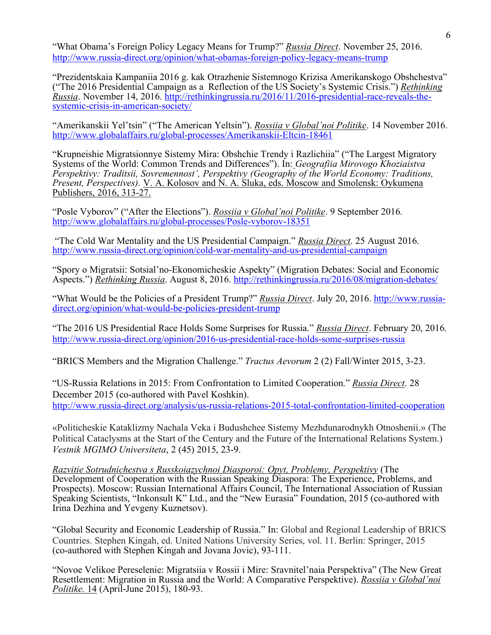"What Obama's Foreign Policy Legacy Means for Trump?" *Russia Direct*. November 25, 2016. http://www.russia-direct.org/opinion/what-obamas-foreign-policy-legacy-means-trump

"Prezidentskaia Kampaniia 2016 g. kak Otrazhenie Sistemnogo Krizisa Amerikanskogo Obshchestva" ("The 2016 Presidential Campaign as a Reflection of the US Society's Systemic Crisis.") *Rethinking Russia*. November 14, 2016. http://rethinkingrussia.ru/2016/11/2016-presidential-race-reveals-thesystemic-crisis-in-american-society/

"Amerikanskii Yel'tsin" ("The American Yeltsin"). *Rossiia v Global'noi Politike*. 14 November 2016. http://www.globalaffairs.ru/global-processes/Amerikanskii-Eltcin-18461

"Krupneishie Migratsionnye Sistemy Mira: Obshchie Trendy i Razlichiia" ("The Largest Migratory Systems of the World: Common Trends and Differences"). In: *Geografiia Mirovogo Khoziaistva Perspektivy: Traditsii, Sovremennost', Perspektivy (Geography of the World Economy: Traditions, Present, Perspectives).* V. A. Kolosov and N. A. Sluka, eds. Moscow and Smolensk: Oykumena Publishers, 2016, 313-27.

"Posle Vyborov" ("After the Elections"). *Rossiia v Global'noi Politike*. 9 September 2016. http://www.globalaffairs.ru/global-processes/Posle-vyborov-18351

"The Cold War Mentality and the US Presidential Campaign." *Russia Direct*. 25 August 2016. http://www.russia-direct.org/opinion/cold-war-mentality-and-us-presidential-campaign

"Spory o Migratsii: Sotsial'no-Ekonomicheskie Aspekty" (Migration Debates: Social and Economic Aspects.") *Rethinking Russia*. August 8, 2016. http://rethinkingrussia.ru/2016/08/migration-debates/

"What Would be the Policies of a President Trump?" *Russia Direct*. July 20, 2016. http://www.russiadirect.org/opinion/what-would-be-policies-president-trump

"The 2016 US Presidential Race Holds Some Surprises for Russia." *Russia Direct*. February 20, 2016. http://www.russia-direct.org/opinion/2016-us-presidential-race-holds-some-surprises-russia

"BRICS Members and the Migration Challenge." *Tractus Aevorum* 2 (2) Fall/Winter 2015, 3-23.

"US-Russia Relations in 2015: From Confrontation to Limited Cooperation." *Russia Direct*. 28 December 2015 (co-authored with Pavel Koshkin). http://www.russia-direct.org/analysis/us-russia-relations-2015-total-confrontation-limited-cooperation

«Politicheskie Kataklizmy Nachala Veka i Budushchee Sistemy Mezhdunarodnykh Otnoshenii.» (The Political Cataclysms at the Start of the Century and the Future of the International Relations System.) *Vestnik MGIMO Universiteta*, 2 (45) 2015, 23-9.

*Razvitie Sotrudnichestva s Russkoiazychnoi Diasporoi: Opyt, Problemy, Perspektivy* (The Development of Cooperation with the Russian Speaking Diaspora: The Experience, Problems, and Prospects). Moscow: Russian International Affairs Council, The International Association of Russian Speaking Scientists, "Inkonsult K" Ltd., and the "New Eurasia" Foundation, 2015 (co-authored with Irina Dezhina and Yevgeny Kuznetsov).

"Global Security and Economic Leadership of Russia." In: Global and Regional Leadership of BRICS Countries. Stephen Kingah, ed. United Nations University Series, vol. 11. Berlin: Springer, 2015 (co-authored with Stephen Kingah and Jovana Jovic), 93-111.

"Novoe Velikoe Pereselenie: Migratsiia v Rossii i Mire: Sravnitel'naia Perspektiva" (The New Great Resettlement: Migration in Russia and the World: A Comparative Perspektive). *Rossiia v Global'noi Politike.* 14 (April-June 2015), 180-93.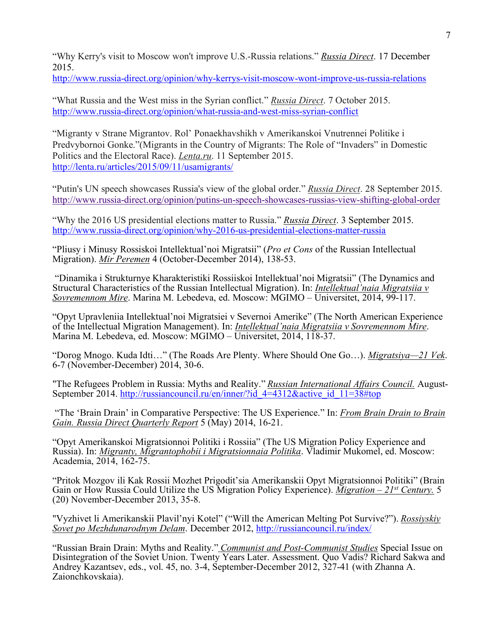"Why Kerry's visit to Moscow won't improve U.S.-Russia relations." *Russia Direct*. 17 December 2015.

http://www.russia-direct.org/opinion/why-kerrys-visit-moscow-wont-improve-us-russia-relations

"What Russia and the West miss in the Syrian conflict." *Russia Direct*. 7 October 2015. http://www.russia-direct.org/opinion/what-russia-and-west-miss-syrian-conflict

"Migranty v Strane Migrantov. Rol' Ponaekhavshikh v Amerikanskoi Vnutrennei Politike i Predvybornoi Gonke."(Migrants in the Country of Migrants: The Role of "Invaders" in Domestic Politics and the Electoral Race). *Lenta.ru*. 11 September 2015. http://lenta.ru/articles/2015/09/11/usamigrants/

"Putin's UN speech showcases Russia's view of the global order." *Russia Direct*. 28 September 2015. http://www.russia-direct.org/opinion/putins-un-speech-showcases-russias-view-shifting-global-order

"Why the 2016 US presidential elections matter to Russia." *Russia Direct*. 3 September 2015. http://www.russia-direct.org/opinion/why-2016-us-presidential-elections-matter-russia

"Pliusy i Minusy Rossiskoi Intellektual'noi Migratsii" (*Pro et Cons* of the Russian Intellectual Migration). *Mir Peremen* 4 (October-December 2014), 138-53.

"Dinamika i Strukturnye Kharakteristiki Rossiiskoi Intellektual'noi Migratsii" (The Dynamics and Structural Characteristics of the Russian Intellectual Migration). In: *Intellektual'naia Migratsiia v Sovremennom Mire*. Marina M. Lebedeva, ed. Moscow: MGIMO – Universitet, 2014, 99-117.

"Opyt Upravleniia Intellektual'noi Migratsiei v Severnoi Amerike" (The North American Experience of the Intellectual Migration Management). In: *Intellektual'naia Migratsiia v Sovremennom Mire*. Marina M. Lebedeva, ed. Moscow: MGIMO – Universitet, 2014, 118-37.

"Dorog Mnogo. Kuda Idti…" (The Roads Are Plenty. Where Should One Go…). *Migratsiya—21 Vek*. 6-7 (November-December) 2014, 30-6.

"The Refugees Problem in Russia: Myths and Reality." *Russian International Affairs Council*. August-<br>September 2014. http://russiancouncil.ru/en/inner/?id\_4=4312&active\_id\_11=38#top

"The 'Brain Drain' in Comparative Perspective: The US Experience." In: *From Brain Drain to Brain Gain. Russia Direct Quarterly Report* 5 (May) 2014, 16-21.

"Opyt Amerikanskoi Migratsionnoi Politiki i Rossiia" (The US Migration Policy Experience and Russia). In: *Migranty, Migrantophobii i Migratsionnaia Politika*. Vladimir Mukomel, ed. Moscow: Academia, 2014, 162-75.

"Pritok Mozgov ili Kak Rossii Mozhet Prigodit'sia Amerikanskii Opyt Migratsionnoi Politiki" (Brain Gain or How Russia Could Utilize the US Migration Policy Experience). *Migration – 21st Century.* 5 (20) November-December 2013, 35-8.

"Vyzhivet li Amerikanskii Plavil'nyi Kotel" ("Will the American Melting Pot Survive?"). *Rossiyskiy Sovet po Mezhdunarodnym Delam*. December 2012, http://russiancouncil.ru/index/

"Russian Brain Drain: Myths and Reality." *Communist and Post-Communist Studies* Special Issue on Disintegration of the Soviet Union. Twenty Years Later. Assessment. Quo Vadis? Richard Sakwa and Andrey Kazantsev, eds., vol. 45, no. 3-4, September-December 2012, 327-41 (with Zhanna A. Zaionchkovskaia).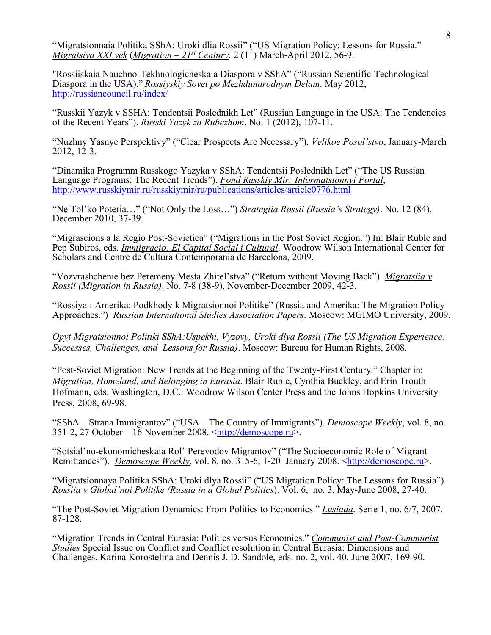"Migratsionnaia Politika SShA: Uroki dlia Rossii" ("US Migration Policy: Lessons for Russia." *Migratsiya XXI vek* (*Migration – 21st Century*. 2 (11) March-April 2012, 56-9.

"Rossiiskaia Nauchno-Tekhnologicheskaia Diaspora v SShA" ("Russian Scientific-Technological Diaspora in the USA)." *Rossiyskiy Sovet po Mezhdunarodnym Delam*. May 2012, http://russiancouncil.ru/index/

"Russkii Yazyk v SSHA: Tendentsii Poslednikh Let" (Russian Language in the USA: The Tendencies of the Recent Years"). *Russki Yazyk za Rubezhom*. No. 1 (2012), 107-11.

"Nuzhny Yasnye Perspektivy" ("Clear Prospects Are Necessary"). *Velikoe Posol'stvo*, January-March 2012, 12-3.

"Dinamika Programm Russkogo Yazyka v SShA: Tendentsii Poslednikh Let" ("The US Russian Language Programs: The Recent Trends"). *Fond Russkiy Mir: Informatsionnyi Portal*, http://www.russkiymir.ru/russkiymir/ru/publications/articles/article0776.html

"Ne Tol'ko Poteria…" ("Not Only the Loss…") *Strategiia Rossii (Russia's Strategy)*. No. 12 (84), December 2010, 37-39.

"Migrascions a la Regio Post-Sovietica" ("Migrations in the Post Soviet Region.") In: Blair Ruble and Pep Subiros, eds. *Immigracio: El Capital Social i Cultural*. Woodrow Wilson International Center for Scholars and Centre de Cultura Contemporania de Barcelona, 2009.

"Vozvrashchenie bez Peremeny Mesta Zhitel'stva" ("Return without Moving Back"). *Migratsiia v Rossii (Migration in Russia)*. No. 7-8 (38-9), November-December 2009, 42-3.

"Rossiya i Amerika: Podkhody k Migratsionnoi Politike" (Russia and Amerika: The Migration Policy Approaches.") *Russian International Studies Association Papers*. Moscow: MGIMO University, 2009.

*Opyt Migratsionnoi Politiki SShA:Uspekhi, Vyzovy, Uroki dlya Rossii (The US Migration Experience: Successes, Challenges, and Lessons for Russia)*. Moscow: Bureau for Human Rights, 2008.

"Post-Soviet Migration: New Trends at the Beginning of the Twenty-First Century." Chapter in: *Migration, Homeland, and Belonging in Eurasia*. Blair Ruble, Cynthia Buckley, and Erin Trouth Hofmann, eds. Washington, D.C.: Woodrow Wilson Center Press and the Johns Hopkins University Press, 2008, 69-98.

"SShA – Strana Immigrantov" ("USA – The Country of Immigrants"). *Demoscope Weekly*, vol. 8, no. 351-2, 27 October – 16 November 2008.  $\frac{\text{http://denoscope.ru>}}{\text{http://denoscope.ru>}}$ .

"Sotsial'no-ekonomicheskaia Rol' Perevodov Migrantov" ("The Socioeconomic Role of Migrant Remittances"). *Demoscope Weekly*, vol. 8, no. 315-6, 1-20 January 2008. <**http://demoscope.ru>**.

"Migratsionnaya Politika SShA: Uroki dlya Rossii" ("US Migration Policy: The Lessons for Russia"). *Rossiia v Global'noi Politike (Russia in a Global Politics*). Vol. 6, no. 3, May-June 2008, 27-40.

"The Post-Soviet Migration Dynamics: From Politics to Economics." *Lusiada*. Serie 1, no. 6/7, 2007. 87-128.

"Migration Trends in Central Eurasia: Politics versus Economics." *Communist and Post-Communist Studies* Special Issue on Conflict and Conflict resolution in Central Eurasia: Dimensions and Challenges. Karina Korostelina and Dennis J. D. Sandole, eds. no. 2, vol. 40. June 2007, 169-90.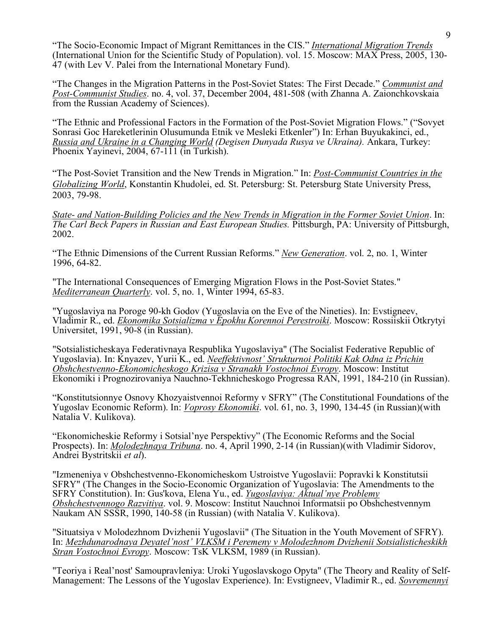"The Socio-Economic Impact of Migrant Remittances in the CIS." *International Migration Trends* (International Union for the Scientific Study of Population). vol. 15. Moscow: MAX Press, 2005, 130- 47 (with Lev V. Palei from the International Monetary Fund).

"The Changes in the Migration Patterns in the Post-Soviet States: The First Decade." *Communist and Post-Communist Studies*. no. 4, vol. 37, December 2004, 481-508 (with Zhanna A. Zaionchkovskaia from the Russian Academy of Sciences).

"The Ethnic and Professional Factors in the Formation of the Post-Soviet Migration Flows." ("Sovyet Sonrasi Goc Hareketlerinin Olusumunda Etnik ve Mesleki Etkenler") In: Erhan Buyukakinci, ed., *Russia and Ukraine in a Changing World (Degisen Dunyada Rusya ve Ukraina).* Ankara, Turkey: Phoenix Yayinevi, 2004, 67-111 (in Turkish).

"The Post-Soviet Transition and the New Trends in Migration." In: *Post-Communist Countries in the Globalizing World*, Konstantin Khudolei, ed. St. Petersburg: St. Petersburg State University Press, 2003, 79-98.

*State- and Nation-Building Policies and the New Trends in Migration in the Former Soviet Union*. In: *The Carl Beck Papers in Russian and East European Studies.* Pittsburgh, PA: University of Pittsburgh, 2002.

"The Ethnic Dimensions of the Current Russian Reforms." *New Generation*. vol. 2, no. 1, Winter 1996, 64-82.

"The International Consequences of Emerging Migration Flows in the Post-Soviet States." *Mediterranean Quarterly*. vol. 5, no. 1, Winter 1994, 65-83.

"Yugoslaviya na Poroge 90-kh Godov (Yugoslavia on the Eve of the Nineties). In: Evstigneev, Vladimir R., ed. *Ekonomika Sotsializma v Epokhu Korennoi Perestroiki*. Moscow: Rossiiskii Otkrytyi Universitet, 1991, 90-8 (in Russian).

"Sotsialisticheskaya Federativnaya Respublika Yugoslaviya" (The Socialist Federative Republic of Yugoslavia). In: Knyazev, Yurii K., ed. *Neeffektivnost' Strukturnoi Politiki Kak Odna iz Prichin Obshchestvenno-Ekonomicheskogo Krizisa v Stranakh Vostochnoi Evropy*. Moscow: Institut Ekonomiki i Prognozirovaniya Nauchno-Tekhnicheskogo Progressa RAN, 1991, 184-210 (in Russian).

"Konstitutsionnye Osnovy Khozyaistvennoi Reformy v SFRY" (The Constitutional Foundations of the Yugoslav Economic Reform). In: *Voprosy Ekonomiki*. vol. 61, no. 3, 1990, 134-45 (in Russian)(with Natalia V. Kulikova).

"Ekonomicheskie Reformy i Sotsial'nye Perspektivy" (The Economic Reforms and the Social Prospects). In: *Molodezhnaya Tribuna*. no. 4, April 1990, 2-14 (in Russian)(with Vladimir Sidorov, Andrei Bystritskii *et al*).

"Izmeneniya v Obshchestvenno-Ekonomicheskom Ustroistve Yugoslavii: Popravki k Konstitutsii SFRY" (The Changes in the Socio-Economic Organization of Yugoslavia: The Amendments to the SFRY Constitution). In: Gus'kova, Elena Yu., ed. *Yugoslaviya: Aktual'nye Problemy Obshchestvennogo Razvitiya*. vol. 9. Moscow: Institut Nauchnoi Informatsii po Obshchestvennym Naukam AN SSSR, 1990, 140-58 (in Russian) (with Natalia V. Kulikova).

"Situatsiya v Molodezhnom Dvizhenii Yugoslavii" (The Situation in the Youth Movement of SFRY). In: *Mezhdunarodnaya Deyatel'nost' VLKSM i Peremeny v Molodezhnom Dvizhenii Sotsialisticheskikh Stran Vostochnoi Evropy*. Moscow: TsK VLKSM, 1989 (in Russian).

"Teoriya i Real'nost' Samoupravleniya: Uroki Yugoslavskogo Opyta" (The Theory and Reality of Self-Management: The Lessons of the Yugoslav Experience). In: Evstigneev, Vladimir R., ed. *Sovremennyi*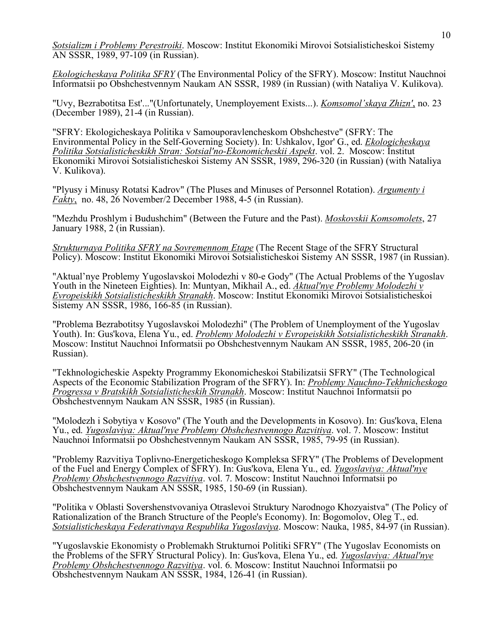*Sotsializm i Problemy Perestroiki*. Moscow: Institut Ekonomiki Mirovoi Sotsialisticheskoi Sistemy AN SSSR, 1989, 97-109 (in Russian).

*Ekologicheskaya Politika SFRY* (The Environmental Policy of the SFRY). Moscow: Institut Nauchnoi Informatsii po Obshchestvennym Naukam AN SSSR, 1989 (in Russian) (with Nataliya V. Kulikova).

"Uvy, Bezrabotitsa Est'..."(Unfortunately, Unemployement Exists...). *Komsomol'skaya Zhizn'*, no. 23 (December 1989), 21-4 (in Russian).

"SFRY: Ekologicheskaya Politika v Samouporavlencheskom Obshchestve" (SFRY: The Environmental Policy in the Self-Governing Society). In: Ushkalov, Igor' G., ed. *Ekologicheskaya Politika Sotsialisticheskikh Stran: Sotsial'no-Ekonomicheskii Aspekt*. vol. 2. Moscow: Institut Ekonomiki Mirovoi Sotsialisticheskoi Sistemy AN SSSR, 1989, 296-320 (in Russian) (with Nataliya V. Kulikova).

"Plyusy i Minusy Rotatsi Kadrov" (The Pluses and Minuses of Personnel Rotation). *Argumenty i Fakty*, no. 48, 26 November/2 December 1988, 4-5 (in Russian).

"Mezhdu Proshlym i Budushchim" (Between the Future and the Past). *Moskovskii Komsomolets*, 27 January 1988, 2 (in Russian).

*Strukturnaya Politika SFRY na Sovremennom Etape* (The Recent Stage of the SFRY Structural Policy). Moscow: Institut Ekonomiki Mirovoi Sotsialisticheskoi Sistemy AN SSSR, 1987 (in Russian).

"Aktual'nye Problemy Yugoslavskoi Molodezhi v 80-e Gody" (The Actual Problems of the Yugoslav Youth in the Nineteen Eighties). In: Muntyan, Mikhail A., ed. *Aktual'nye Problemy Molodezhi v Evropeiskikh Sotsialisticheskikh Stranakh*. Moscow: Institut Ekonomiki Mirovoi Sotsialisticheskoi Sistemy AN SSSR, 1986, 166-85 (in Russian).

"Problema Bezrabotitsy Yugoslavskoi Molodezhi" (The Problem of Unemployment of the Yugoslav Youth). In: Gus'kova, Elena Yu., ed. *Problemy Molodezhi v Evropeiskikh Sotsialisticheskikh Stranakh*. Moscow: Institut Nauchnoi Informatsii po Obshchestvennym Naukam AN SSSR, 1985, 206-20 (in Russian).

"Tekhnologicheskie Aspekty Programmy Ekonomicheskoi Stabilizatsii SFRY" (The Technological Aspects of the Economic Stabilization Program of the SFRY). In: *Problemy Nauchno-Tekhnicheskogo Progressa v Bratskikh Sotsialisticheskih Stranakh*. Moscow: Institut Nauchnoi Informatsii po Obshchestvennym Naukam AN SSSR, 1985 (in Russian).

"Molodezh i Sobytiya v Kosovo" (The Youth and the Developments in Kosovo). In: Gus'kova, Elena Yu., ed. *Yugoslaviya: Aktual'nye Problemy Obshchestvennogo Razvitiya*. vol. 7. Moscow: Institut Nauchnoi Informatsii po Obshchestvennym Naukam AN SSSR, 1985, 79-95 (in Russian).

"Problemy Razvitiya Toplivno-Energeticheskogo Kompleksa SFRY" (The Problems of Development of the Fuel and Energy Complex of SFRY). In: Gus'kova, Elena Yu., ed. *Yugoslaviya: Aktual'nye Problemy Obshchestvennogo Razvitiya*. vol. 7. Moscow: Institut Nauchnoi Informatsii po Obshchestvennym Naukam AN SSSR, 1985, 150-69 (in Russian).

"Politika v Oblasti Sovershenstvovaniya Otraslevoi Struktury Narodnogo Khozyaistva" (The Policy of Rationalization of the Branch Structure of the People's Economy). In: Bogomolov, Oleg T., ed. *Sotsialisticheskaya Federativnaya Respublika Yugoslaviya*. Moscow: Nauka, 1985, 84-97 (in Russian).

"Yugoslavskie Ekonomisty o Problemakh Strukturnoi Politiki SFRY" (The Yugoslav Economists on the Problems of the SFRY Structural Policy). In: Gus'kova, Elena Yu., ed. *Yugoslaviya: Aktual'nye Problemy Obshchestvennogo Razvitiya*. vol. 6. Moscow: Institut Nauchnoi Informatsii po Obshchestvennym Naukam AN SSSR, 1984, 126-41 (in Russian).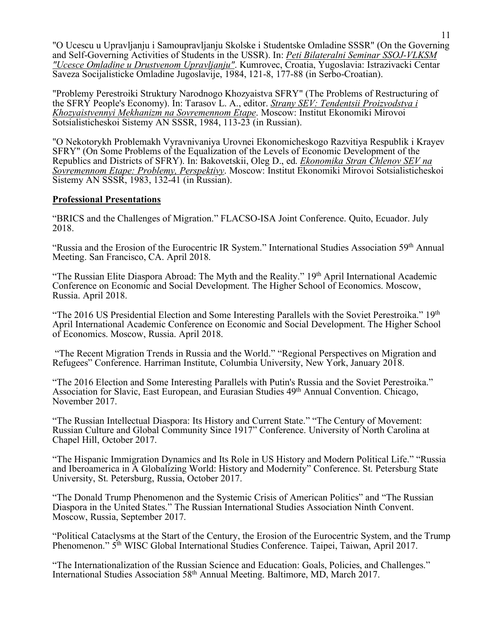"O Ucescu u Upravljanju i Samoupravljanju Skolske i Studentske Omladine SSSR" (On the Governing and Self-Governing Activities of Students in the USSR). In: *Peti Bilateralni Seminar SSOJ-VLKSM "Ucesce Omladine u Drustvenom Upravljanju"*. Kumrovec, Croatia, Yugoslavia: Istrazivacki Centar Saveza Socijalisticke Omladine Jugoslavije, 1984, 121-8, 177-88 (in Serbo-Croatian).

"Problemy Perestroiki Struktury Narodnogo Khozyaistva SFRY" (The Problems of Restructuring of the SFRY People's Economy). In: Tarasov L. A., editor. *Strany SEV: Tendentsii Proizvodstva i Khozyaistvennyi Mekhanizm na Sovremennom Etape*. Moscow: Institut Ekonomiki Mirovoi Sotsialisticheskoi Sistemy AN SSSR, 1984, 113-23 (in Russian).

"O Nekotorykh Problemakh Vyravnivaniya Urovnei Ekonomicheskogo Razvitiya Respublik i Krayev SFRY" (On Some Problems of the Equalization of the Levels of Economic Development of the Republics and Districts of SFRY). In: Bakovetskii, Oleg D., ed. *Ekonomika Stran Chlenov SEV na Sovremennom Etape: Problemy, Perspektivy*. Moscow: Institut Ekonomiki Mirovoi Sotsialisticheskoi Sistemy AN SSSR, 1983, 132-41 (in Russian).

# **Professional Presentations**

"BRICS and the Challenges of Migration." FLACSO-ISA Joint Conference. Quito, Ecuador. July 2018.

"Russia and the Erosion of the Eurocentric IR System." International Studies Association 59th Annual Meeting. San Francisco, CA. April 2018.

"The Russian Elite Diaspora Abroad: The Myth and the Reality." 19<sup>th</sup> April International Academic Conference on Economic and Social Development. The Higher School of Economics. Moscow, Russia. April 2018.

"The 2016 US Presidential Election and Some Interesting Parallels with the Soviet Perestroika." 19th April International Academic Conference on Economic and Social Development. The Higher School of Economics. Moscow, Russia. April 2018.

"The Recent Migration Trends in Russia and the World." "Regional Perspectives on Migration and Refugees" Conference. Harriman Institute, Columbia University, New York, January 2018.

"The 2016 Election and Some Interesting Parallels with Putin's Russia and the Soviet Perestroika." Association for Slavic, East European, and Eurasian Studies 49<sup>th</sup> Annual Convention. Chicago, November 2017.

"The Russian Intellectual Diaspora: Its History and Current State." "The Century of Movement: Russian Culture and Global Community Since 1917" Conference. University of North Carolina at Chapel Hill, October 2017.

"The Hispanic Immigration Dynamics and Its Role in US History and Modern Political Life." "Russia and Iberoamerica in A Globalizing World: History and Modernity" Conference. St. Petersburg State University, St. Petersburg, Russia, October 2017.

"The Donald Trump Phenomenon and the Systemic Crisis of American Politics" and "The Russian Diaspora in the United States." The Russian International Studies Association Ninth Convent. Moscow, Russia, September 2017.

"Political Cataclysms at the Start of the Century, the Erosion of the Eurocentric System, and the Trump Phenomenon." 5<sup>th</sup> WISC Global International Studies Conference. Taipei, Taiwan, April 2017.

"The Internationalization of the Russian Science and Education: Goals, Policies, and Challenges." International Studies Association 58th Annual Meeting. Baltimore, MD, March 2017.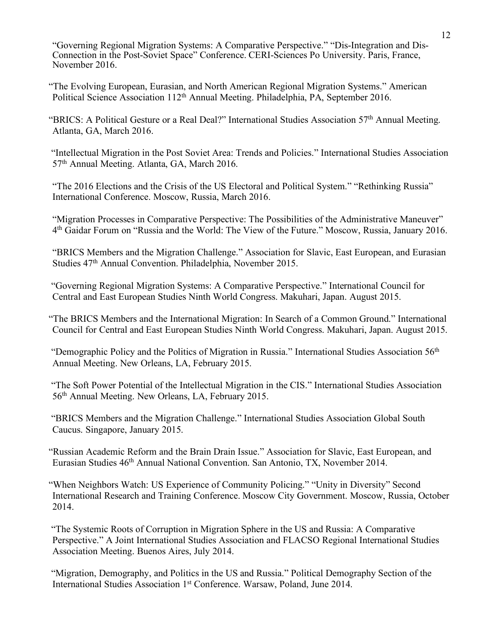"Governing Regional Migration Systems: A Comparative Perspective." "Dis-Integration and Dis-Connection in the Post-Soviet Space" Conference. CERI-Sciences Po University. Paris, France, November 2016.

"The Evolving European, Eurasian, and North American Regional Migration Systems." American Political Science Association 112<sup>th</sup> Annual Meeting. Philadelphia, PA, September 2016.

"BRICS: A Political Gesture or a Real Deal?" International Studies Association 57<sup>th</sup> Annual Meeting. Atlanta, GA, March 2016.

"Intellectual Migration in the Post Soviet Area: Trends and Policies." International Studies Association 57th Annual Meeting. Atlanta, GA, March 2016.

"The 2016 Elections and the Crisis of the US Electoral and Political System." "Rethinking Russia" International Conference. Moscow, Russia, March 2016.

"Migration Processes in Comparative Perspective: The Possibilities of the Administrative Maneuver" 4th Gaidar Forum on "Russia and the World: The View of the Future." Moscow, Russia, January 2016.

"BRICS Members and the Migration Challenge." Association for Slavic, East European, and Eurasian Studies 47<sup>th</sup> Annual Convention. Philadelphia, November 2015.

"Governing Regional Migration Systems: A Comparative Perspective." International Council for Central and East European Studies Ninth World Congress. Makuhari, Japan. August 2015.

"The BRICS Members and the International Migration: In Search of a Common Ground." International Council for Central and East European Studies Ninth World Congress. Makuhari, Japan. August 2015.

"Demographic Policy and the Politics of Migration in Russia." International Studies Association 56<sup>th</sup> Annual Meeting. New Orleans, LA, February 2015.

"The Soft Power Potential of the Intellectual Migration in the CIS." International Studies Association 56th Annual Meeting. New Orleans, LA, February 2015.

"BRICS Members and the Migration Challenge." International Studies Association Global South Caucus. Singapore, January 2015.

"Russian Academic Reform and the Brain Drain Issue." Association for Slavic, East European, and Eurasian Studies 46th Annual National Convention. San Antonio, TX, November 2014.

"When Neighbors Watch: US Experience of Community Policing." "Unity in Diversity" Second International Research and Training Conference. Moscow City Government. Moscow, Russia, October 2014.

"The Systemic Roots of Corruption in Migration Sphere in the US and Russia: A Comparative Perspective." A Joint International Studies Association and FLACSO Regional International Studies Association Meeting. Buenos Aires, July 2014.

"Migration, Demography, and Politics in the US and Russia." Political Demography Section of the International Studies Association 1<sup>st</sup> Conference. Warsaw, Poland, June 2014.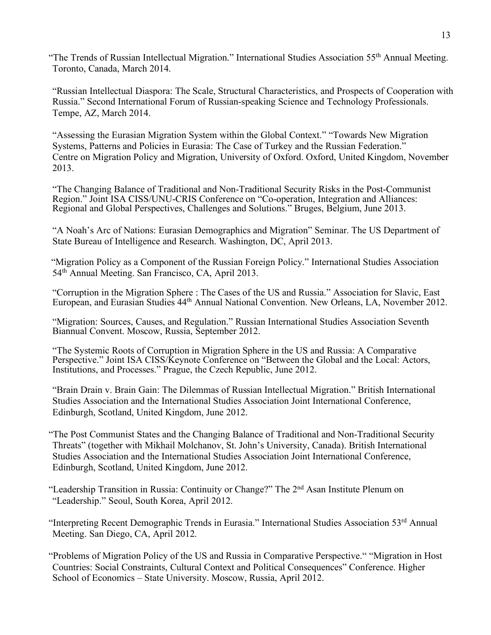"The Trends of Russian Intellectual Migration." International Studies Association 55th Annual Meeting. Toronto, Canada, March 2014.

"Russian Intellectual Diaspora: The Scale, Structural Characteristics, and Prospects of Cooperation with Russia." Second International Forum of Russian-speaking Science and Technology Professionals. Tempe, AZ, March 2014.

"Assessing the Eurasian Migration System within the Global Context." "Towards New Migration Systems, Patterns and Policies in Eurasia: The Case of Turkey and the Russian Federation." Centre on Migration Policy and Migration, University of Oxford. Oxford, United Kingdom, November 2013.

"The Changing Balance of Traditional and Non-Traditional Security Risks in the Post-Communist Region." Joint ISA CISS/UNU-CRIS Conference on "Co-operation, Integration and Alliances: Regional and Global Perspectives, Challenges and Solutions." Bruges, Belgium, June 2013.

"A Noah's Arc of Nations: Eurasian Demographics and Migration" Seminar. The US Department of State Bureau of Intelligence and Research. Washington, DC, April 2013.

"Migration Policy as a Component of the Russian Foreign Policy." International Studies Association 54th Annual Meeting. San Francisco, CA, April 2013.

"Corruption in the Migration Sphere : The Cases of the US and Russia." Association for Slavic, East European, and Eurasian Studies 44th Annual National Convention. New Orleans, LA, November 2012.

"Migration: Sources, Causes, and Regulation." Russian International Studies Association Seventh Biannual Convent. Moscow, Russia, September 2012.

"The Systemic Roots of Corruption in Migration Sphere in the US and Russia: A Comparative Perspective." Joint ISA CISS/Keynote Conference on "Between the Global and the Local: Actors, Institutions, and Processes." Prague, the Czech Republic, June 2012.

"Brain Drain v. Brain Gain: The Dilemmas of Russian Intellectual Migration." British International Studies Association and the International Studies Association Joint International Conference, Edinburgh, Scotland, United Kingdom, June 2012.

"The Post Communist States and the Changing Balance of Traditional and Non-Traditional Security Threats" (together with Mikhail Molchanov, St. John's University, Canada). British International Studies Association and the International Studies Association Joint International Conference, Edinburgh, Scotland, United Kingdom, June 2012.

"Leadership Transition in Russia: Continuity or Change?" The 2nd Asan Institute Plenum on "Leadership." Seoul, South Korea, April 2012.

"Interpreting Recent Demographic Trends in Eurasia." International Studies Association 53rd Annual Meeting. San Diego, CA, April 2012.

"Problems of Migration Policy of the US and Russia in Comparative Perspective." "Migration in Host Countries: Social Constraints, Cultural Context and Political Consequences" Conference. Higher School of Economics – State University. Moscow, Russia, April 2012.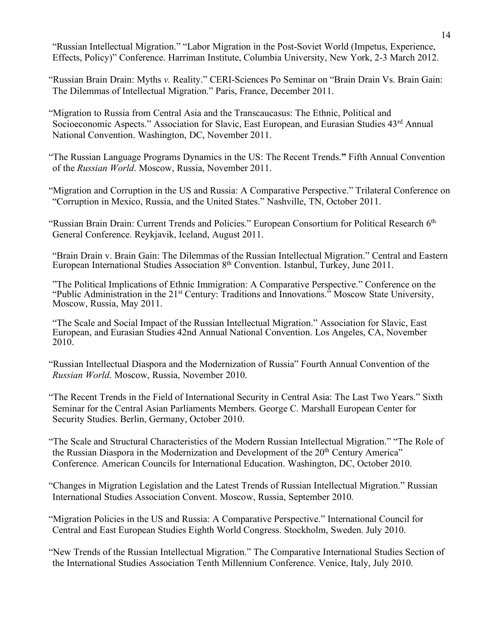"Russian Intellectual Migration." "Labor Migration in the Post-Soviet World (Impetus, Experience, Effects, Policy)" Conference. Harriman Institute, Columbia University, New York, 2-3 March 2012.

"Russian Brain Drain: Myths *v.* Reality." CERI-Sciences Po Seminar on "Brain Drain Vs. Brain Gain: The Dilemmas of Intellectual Migration." Paris, France, December 2011.

"Migration to Russia from Central Asia and the Transcaucasus: The Ethnic, Political and Socioeconomic Aspects." Association for Slavic, East European, and Eurasian Studies 43<sup>rd</sup> Annual National Convention. Washington, DC, November 2011.

"The Russian Language Programs Dynamics in the US: The Recent Trends.**"** Fifth Annual Convention of the *Russian World*. Moscow, Russia, November 2011.

"Migration and Corruption in the US and Russia: A Comparative Perspective." Trilateral Conference on "Corruption in Mexico, Russia, and the United States." Nashville, TN, October 2011.

"Russian Brain Drain: Current Trends and Policies." European Consortium for Political Research 6<sup>th</sup> General Conference. Reykjavik, Iceland, August 2011.

"Brain Drain v. Brain Gain: The Dilemmas of the Russian Intellectual Migration." Central and Eastern European International Studies Association 8<sup>th</sup> Convention. Istanbul, Turkey, June 2011.

"The Political Implications of Ethnic Immigration: A Comparative Perspective." Conference on the "Public Administration in the 21st Century: Traditions and Innovations." Moscow State University, Moscow, Russia, May 2011.

"The Scale and Social Impact of the Russian Intellectual Migration." Association for Slavic, East European, and Eurasian Studies 42nd Annual National Convention. Los Angeles, CA, November 2010.

"Russian Intellectual Diaspora and the Modernization of Russia" Fourth Annual Convention of the *Russian World*. Moscow, Russia, November 2010.

"The Recent Trends in the Field of International Security in Central Asia: The Last Two Years." Sixth Seminar for the Central Asian Parliaments Members. George C. Marshall European Center for Security Studies. Berlin, Germany, October 2010.

"The Scale and Structural Characteristics of the Modern Russian Intellectual Migration." "The Role of the Russian Diaspora in the Modernization and Development of the 20<sup>th</sup> Century America" Conference. American Councils for International Education. Washington, DC, October 2010.

"Changes in Migration Legislation and the Latest Trends of Russian Intellectual Migration." Russian International Studies Association Convent. Moscow, Russia, September 2010.

"Migration Policies in the US and Russia: A Comparative Perspective." International Council for Central and East European Studies Eighth World Congress. Stockholm, Sweden. July 2010.

"New Trends of the Russian Intellectual Migration." The Comparative International Studies Section of the International Studies Association Tenth Millennium Conference. Venice, Italy, July 2010.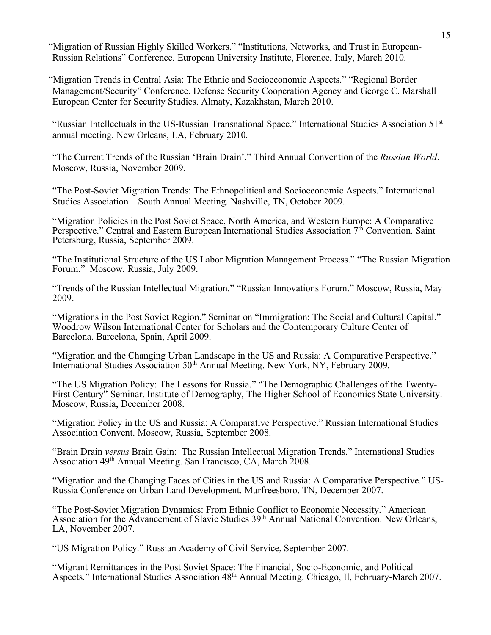"Migration of Russian Highly Skilled Workers." "Institutions, Networks, and Trust in European-Russian Relations" Conference. European University Institute, Florence, Italy, March 2010.

"Migration Trends in Central Asia: The Ethnic and Socioeconomic Aspects." "Regional Border Management/Security" Conference. Defense Security Cooperation Agency and George C. Marshall European Center for Security Studies. Almaty, Kazakhstan, March 2010.

"Russian Intellectuals in the US-Russian Transnational Space." International Studies Association 51st annual meeting. New Orleans, LA, February 2010.

"The Current Trends of the Russian 'Brain Drain'." Third Annual Convention of the *Russian World*. Moscow, Russia, November 2009.

"The Post-Soviet Migration Trends: The Ethnopolitical and Socioeconomic Aspects." International Studies Association—South Annual Meeting. Nashville, TN, October 2009.

"Migration Policies in the Post Soviet Space, North America, and Western Europe: A Comparative Perspective." Central and Eastern European International Studies Association 7<sup>th</sup> Convention. Saint Petersburg, Russia, September 2009.

"The Institutional Structure of the US Labor Migration Management Process." "The Russian Migration Forum." Moscow, Russia, July 2009.

"Trends of the Russian Intellectual Migration." "Russian Innovations Forum." Moscow, Russia, May 2009.

"Migrations in the Post Soviet Region." Seminar on "Immigration: The Social and Cultural Capital." Woodrow Wilson International Center for Scholars and the Contemporary Culture Center of Barcelona. Barcelona, Spain, April 2009.

"Migration and the Changing Urban Landscape in the US and Russia: A Comparative Perspective." International Studies Association 50<sup>th</sup> Annual Meeting. New York, NY, February 2009.

"The US Migration Policy: The Lessons for Russia." "The Demographic Challenges of the Twenty-First Century" Seminar. Institute of Demography, The Higher School of Economics State University. Moscow, Russia, December 2008.

"Migration Policy in the US and Russia: A Comparative Perspective." Russian International Studies Association Convent. Moscow, Russia, September 2008.

"Brain Drain *versus* Brain Gain: The Russian Intellectual Migration Trends." International Studies Association 49th Annual Meeting. San Francisco, CA, March 2008.

"Migration and the Changing Faces of Cities in the US and Russia: A Comparative Perspective." US-Russia Conference on Urban Land Development. Murfreesboro, TN, December 2007.

"The Post-Soviet Migration Dynamics: From Ethnic Conflict to Economic Necessity." American Association for the Advancement of Slavic Studies 39<sup>th</sup> Annual National Convention. New Orleans, LA, November 2007.

"US Migration Policy." Russian Academy of Civil Service, September 2007.

"Migrant Remittances in the Post Soviet Space: The Financial, Socio-Economic, and Political Aspects." International Studies Association 48th Annual Meeting. Chicago, Il, February-March 2007.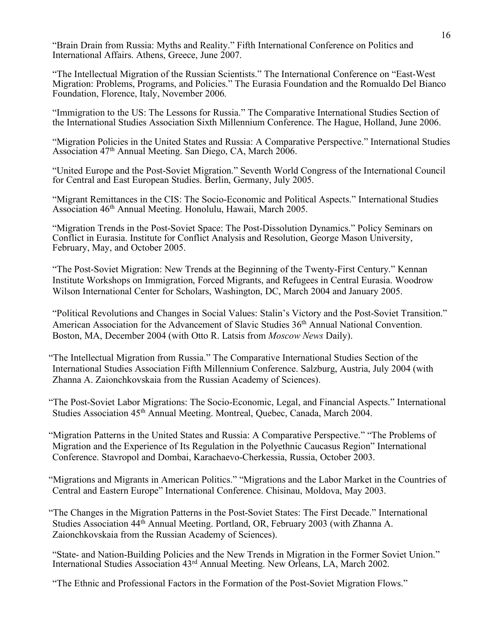"Brain Drain from Russia: Myths and Reality." Fifth International Conference on Politics and International Affairs. Athens, Greece, June 2007.

"The Intellectual Migration of the Russian Scientists." The International Conference on "East-West Migration: Problems, Programs, and Policies." The Eurasia Foundation and the Romualdo Del Bianco Foundation, Florence, Italy, November 2006.

"Immigration to the US: The Lessons for Russia." The Comparative International Studies Section of the International Studies Association Sixth Millennium Conference. The Hague, Holland, June 2006.

"Migration Policies in the United States and Russia: A Comparative Perspective." International Studies Association 47th Annual Meeting. San Diego, CA, March 2006.

"United Europe and the Post-Soviet Migration." Seventh World Congress of the International Council for Central and East European Studies. Berlin, Germany, July 2005.

"Migrant Remittances in the CIS: The Socio-Economic and Political Aspects." International Studies Association 46th Annual Meeting. Honolulu, Hawaii, March 2005.

"Migration Trends in the Post-Soviet Space: The Post-Dissolution Dynamics." Policy Seminars on Conflict in Eurasia. Institute for Conflict Analysis and Resolution, George Mason University, February, May, and October 2005.

"The Post-Soviet Migration: New Trends at the Beginning of the Twenty-First Century." Kennan Institute Workshops on Immigration, Forced Migrants, and Refugees in Central Eurasia. Woodrow Wilson International Center for Scholars, Washington, DC, March 2004 and January 2005.

"Political Revolutions and Changes in Social Values: Stalin's Victory and the Post-Soviet Transition." American Association for the Advancement of Slavic Studies 36<sup>th</sup> Annual National Convention. Boston, MA, December 2004 (with Otto R. Latsis from *Moscow News* Daily).

"The Intellectual Migration from Russia." The Comparative International Studies Section of the International Studies Association Fifth Millennium Conference. Salzburg, Austria, July 2004 (with Zhanna A. Zaionchkovskaia from the Russian Academy of Sciences).

"The Post-Soviet Labor Migrations: The Socio-Economic, Legal, and Financial Aspects." International Studies Association 45<sup>th</sup> Annual Meeting. Montreal, Ouebec, Canada, March 2004.

"Migration Patterns in the United States and Russia: A Comparative Perspective." "The Problems of Migration and the Experience of Its Regulation in the Polyethnic Caucasus Region" International Conference. Stavropol and Dombai, Karachaevo-Cherkessia, Russia, October 2003.

"Migrations and Migrants in American Politics." "Migrations and the Labor Market in the Countries of Central and Eastern Europe" International Conference. Chisinau, Moldova, May 2003.

"The Changes in the Migration Patterns in the Post-Soviet States: The First Decade." International Studies Association 44th Annual Meeting. Portland, OR, February 2003 (with Zhanna A. Zaionchkovskaia from the Russian Academy of Sciences).

"State- and Nation-Building Policies and the New Trends in Migration in the Former Soviet Union." International Studies Association 43rd Annual Meeting. New Orleans, LA, March 2002.

"The Ethnic and Professional Factors in the Formation of the Post-Soviet Migration Flows."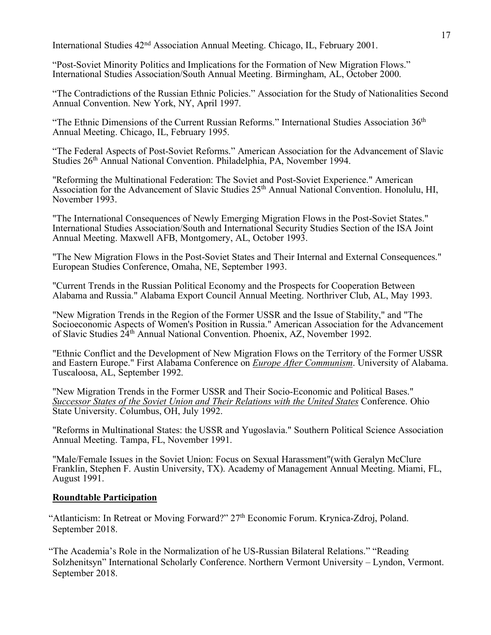International Studies 42nd Association Annual Meeting. Chicago, IL, February 2001.

"Post-Soviet Minority Politics and Implications for the Formation of New Migration Flows." International Studies Association/South Annual Meeting. Birmingham, AL, October 2000.

"The Contradictions of the Russian Ethnic Policies." Association for the Study of Nationalities Second Annual Convention. New York, NY, April 1997.

"The Ethnic Dimensions of the Current Russian Reforms." International Studies Association 36<sup>th</sup> Annual Meeting. Chicago, IL, February 1995.

"The Federal Aspects of Post-Soviet Reforms." American Association for the Advancement of Slavic Studies 26<sup>th</sup> Annual National Convention. Philadelphia, PA, November 1994.

"Reforming the Multinational Federation: The Soviet and Post-Soviet Experience." American Association for the Advancement of Slavic Studies 25<sup>th</sup> Annual National Convention. Honolulu, HI, November 1993.

"The International Consequences of Newly Emerging Migration Flows in the Post-Soviet States." International Studies Association/South and International Security Studies Section of the ISA Joint Annual Meeting. Maxwell AFB, Montgomery, AL, October 1993.

"The New Migration Flows in the Post-Soviet States and Their Internal and External Consequences." European Studies Conference, Omaha, NE, September 1993.

"Current Trends in the Russian Political Economy and the Prospects for Cooperation Between Alabama and Russia." Alabama Export Council Annual Meeting. Northriver Club, AL, May 1993.

"New Migration Trends in the Region of the Former USSR and the Issue of Stability," and "The Socioeconomic Aspects of Women's Position in Russia." American Association for the Advancement of Slavic Studies 24th Annual National Convention. Phoenix, AZ, November 1992.

"Ethnic Conflict and the Development of New Migration Flows on the Territory of the Former USSR and Eastern Europe." First Alabama Conference on *Europe After Communism*. University of Alabama. Tuscaloosa, AL, September 1992.

"New Migration Trends in the Former USSR and Their Socio-Economic and Political Bases." *Successor States of the Soviet Union and Their Relations with the United States* Conference. Ohio State University. Columbus, OH, July 1992.

"Reforms in Multinational States: the USSR and Yugoslavia." Southern Political Science Association Annual Meeting. Tampa, FL, November 1991.

"Male/Female Issues in the Soviet Union: Focus on Sexual Harassment"(with Geralyn McClure Franklin, Stephen F. Austin University, TX). Academy of Management Annual Meeting. Miami, FL, August 1991.

# **Roundtable Participation**

"Atlanticism: In Retreat or Moving Forward?" 27<sup>th</sup> Economic Forum. Krynica-Zdroj, Poland. September 2018.

"The Academia's Role in the Normalization of he US-Russian Bilateral Relations." "Reading Solzhenitsyn" International Scholarly Conference. Northern Vermont University – Lyndon, Vermont. September 2018.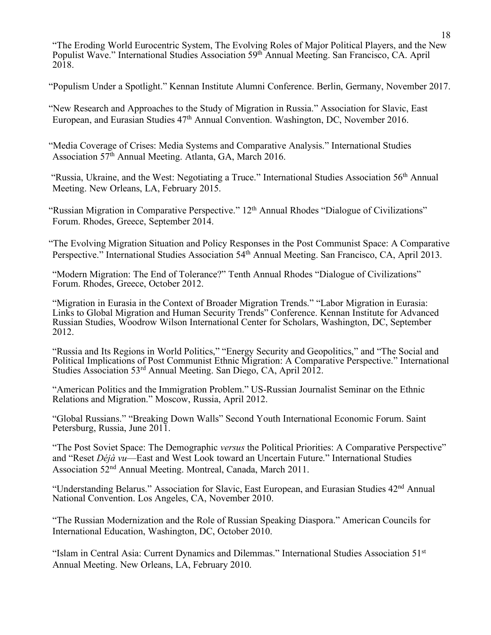"The Eroding World Eurocentric System, The Evolving Roles of Major Political Players, and the New Populist Wave." International Studies Association 59th Annual Meeting. San Francisco, CA. April 2018.

"Populism Under a Spotlight." Kennan Institute Alumni Conference. Berlin, Germany, November 2017.

"New Research and Approaches to the Study of Migration in Russia." Association for Slavic, East European, and Eurasian Studies  $47<sup>th</sup>$  Annual Convention. Washington, DC, November 2016.

"Media Coverage of Crises: Media Systems and Comparative Analysis." International Studies Association 57th Annual Meeting. Atlanta, GA, March 2016.

"Russia, Ukraine, and the West: Negotiating a Truce." International Studies Association 56th Annual Meeting. New Orleans, LA, February 2015.

"Russian Migration in Comparative Perspective." 12<sup>th</sup> Annual Rhodes "Dialogue of Civilizations" Forum. Rhodes, Greece, September 2014.

"The Evolving Migration Situation and Policy Responses in the Post Communist Space: A Comparative Perspective." International Studies Association 54<sup>th</sup> Annual Meeting. San Francisco, CA, April 2013.

"Modern Migration: The End of Tolerance?" Tenth Annual Rhodes "Dialogue of Civilizations" Forum. Rhodes, Greece, October 2012.

"Migration in Eurasia in the Context of Broader Migration Trends." "Labor Migration in Eurasia: Links to Global Migration and Human Security Trends" Conference. Kennan Institute for Advanced Russian Studies, Woodrow Wilson International Center for Scholars, Washington, DC, September 2012.

"Russia and Its Regions in World Politics," "Energy Security and Geopolitics," and "The Social and Political Implications of Post Communist Ethnic Migration: A Comparative Perspective." International Studies Association 53rd Annual Meeting. San Diego, CA, April 2012.

"American Politics and the Immigration Problem." US-Russian Journalist Seminar on the Ethnic Relations and Migration." Moscow, Russia, April 2012.

"Global Russians." "Breaking Down Walls" Second Youth International Economic Forum. Saint Petersburg, Russia, June 2011.

"The Post Soviet Space: The Demographic *versus* the Political Priorities: A Comparative Perspective" and "Reset *Déjà vu*—East and West Look toward an Uncertain Future." International Studies Association 52nd Annual Meeting. Montreal, Canada, March 2011.

"Understanding Belarus." Association for Slavic, East European, and Eurasian Studies 42nd Annual National Convention. Los Angeles, CA, November 2010.

"The Russian Modernization and the Role of Russian Speaking Diaspora." American Councils for International Education, Washington, DC, October 2010.

"Islam in Central Asia: Current Dynamics and Dilemmas." International Studies Association 51st Annual Meeting. New Orleans, LA, February 2010.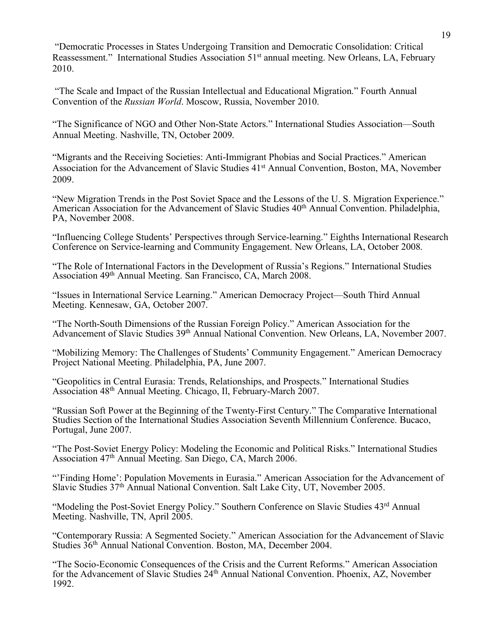"Democratic Processes in States Undergoing Transition and Democratic Consolidation: Critical Reassessment." International Studies Association 51<sup>st</sup> annual meeting. New Orleans, LA, February 2010.

"The Scale and Impact of the Russian Intellectual and Educational Migration." Fourth Annual Convention of the *Russian World*. Moscow, Russia, November 2010.

"The Significance of NGO and Other Non-State Actors." International Studies Association—South Annual Meeting. Nashville, TN, October 2009.

"Migrants and the Receiving Societies: Anti-Immigrant Phobias and Social Practices." American Association for the Advancement of Slavic Studies 41<sup>st</sup> Annual Convention, Boston, MA, November 2009.

"New Migration Trends in the Post Soviet Space and the Lessons of the U. S. Migration Experience." American Association for the Advancement of Slavic Studies 40<sup>th</sup> Annual Convention. Philadelphia, PA, November 2008.

"Influencing College Students' Perspectives through Service-learning." Eighths International Research Conference on Service-learning and Community Engagement. New Orleans, LA, October 2008.

"The Role of International Factors in the Development of Russia's Regions." International Studies Association 49th Annual Meeting. San Francisco, CA, March 2008.

"Issues in International Service Learning." American Democracy Project—South Third Annual Meeting. Kennesaw, GA, October 2007.

"The North-South Dimensions of the Russian Foreign Policy." American Association for the Advancement of Slavic Studies 39<sup>th</sup> Annual National Convention. New Orleans, LA, November 2007.

"Mobilizing Memory: The Challenges of Students' Community Engagement." American Democracy Project National Meeting. Philadelphia, PA, June 2007.

"Geopolitics in Central Eurasia: Trends, Relationships, and Prospects." International Studies Association 48th Annual Meeting. Chicago, Il, February-March 2007.

"Russian Soft Power at the Beginning of the Twenty-First Century." The Comparative International Studies Section of the International Studies Association Seventh Millennium Conference. Bucaco, Portugal, June 2007.

"The Post-Soviet Energy Policy: Modeling the Economic and Political Risks." International Studies Association 47th Annual Meeting. San Diego, CA, March 2006.

"'Finding Home': Population Movements in Eurasia." American Association for the Advancement of Slavic Studies 37th Annual National Convention. Salt Lake City, UT, November 2005.

"Modeling the Post-Soviet Energy Policy." Southern Conference on Slavic Studies 43<sup>rd</sup> Annual Meeting. Nashville, TN, April 2005.

"Contemporary Russia: A Segmented Society." American Association for the Advancement of Slavic Studies 36th Annual National Convention. Boston, MA, December 2004.

"The Socio-Economic Consequences of the Crisis and the Current Reforms." American Association for the Advancement of Slavic Studies 24th Annual National Convention. Phoenix, AZ, November 1992.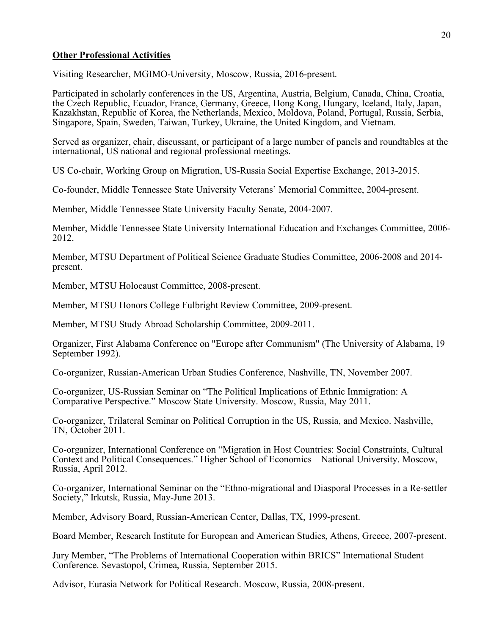# **Other Professional Activities**

Visiting Researcher, MGIMO-University, Moscow, Russia, 2016-present.

Participated in scholarly conferences in the US, Argentina, Austria, Belgium, Canada, China, Croatia, the Czech Republic, Ecuador, France, Germany, Greece, Hong Kong, Hungary, Iceland, Italy, Japan, Kazakhstan, Republic of Korea, the Netherlands, Mexico, Moldova, Poland, Portugal, Russia, Serbia, Singapore, Spain, Sweden, Taiwan, Turkey, Ukraine, the United Kingdom, and Vietnam.

Served as organizer, chair, discussant, or participant of a large number of panels and roundtables at the international, US national and regional professional meetings.

US Co-chair, Working Group on Migration, US-Russia Social Expertise Exchange, 2013-2015.

Co-founder, Middle Tennessee State University Veterans' Memorial Committee, 2004-present.

Member, Middle Tennessee State University Faculty Senate, 2004-2007.

Member, Middle Tennessee State University International Education and Exchanges Committee, 2006- 2012.

Member, MTSU Department of Political Science Graduate Studies Committee, 2006-2008 and 2014 present.

Member, MTSU Holocaust Committee, 2008-present.

Member, MTSU Honors College Fulbright Review Committee, 2009-present.

Member, MTSU Study Abroad Scholarship Committee, 2009-2011.

Organizer, First Alabama Conference on "Europe after Communism" (The University of Alabama, 19 September 1992).

Co-organizer, Russian-American Urban Studies Conference, Nashville, TN, November 2007.

Co-organizer, US-Russian Seminar on "The Political Implications of Ethnic Immigration: A Comparative Perspective." Moscow State University. Moscow, Russia, May 2011.

Co-organizer, Trilateral Seminar on Political Corruption in the US, Russia, and Mexico. Nashville, TN, October 2011.

Co-organizer, International Conference on "Migration in Host Countries: Social Constraints, Cultural Context and Political Consequences." Higher School of Economics—National University. Moscow, Russia, April 2012.

Co-organizer, International Seminar on the "Ethno-migrational and Diasporal Processes in a Re-settler Society," Irkutsk, Russia, May-June 2013.

Member, Advisory Board, Russian-American Center, Dallas, TX, 1999-present.

Board Member, Research Institute for European and American Studies, Athens, Greece, 2007-present.

Jury Member, "The Problems of International Cooperation within BRICS" International Student Conference. Sevastopol, Crimea, Russia, September 2015.

Advisor, Eurasia Network for Political Research. Moscow, Russia, 2008-present.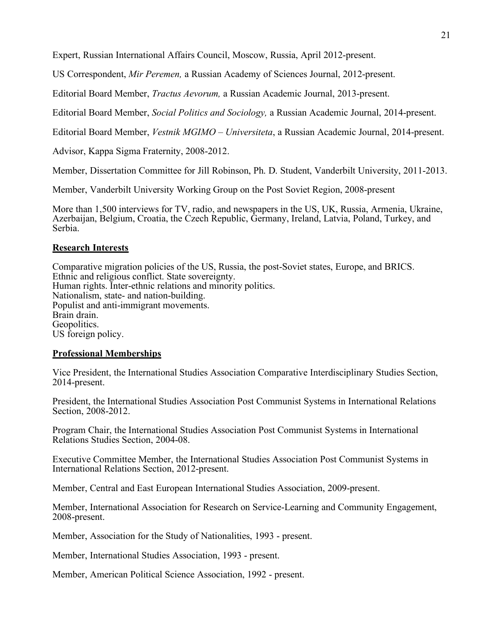Expert, Russian International Affairs Council, Moscow, Russia, April 2012-present.

US Correspondent, *Mir Peremen,* a Russian Academy of Sciences Journal, 2012-present.

Editorial Board Member, *Tractus Aevorum,* a Russian Academic Journal, 2013-present.

Editorial Board Member, *Social Politics and Sociology,* a Russian Academic Journal, 2014-present.

Editorial Board Member, *Vestnik MGIMO – Universiteta*, a Russian Academic Journal, 2014-present.

Advisor, Kappa Sigma Fraternity, 2008-2012.

Member, Dissertation Committee for Jill Robinson, Ph. D. Student, Vanderbilt University, 2011-2013.

Member, Vanderbilt University Working Group on the Post Soviet Region, 2008-present

More than 1,500 interviews for TV, radio, and newspapers in the US, UK, Russia, Armenia, Ukraine, Azerbaijan, Belgium, Croatia, the Czech Republic, Germany, Ireland, Latvia, Poland, Turkey, and Serbia.

## **Research Interests**

Comparative migration policies of the US, Russia, the post-Soviet states, Europe, and BRICS. Ethnic and religious conflict. State sovereignty. Human rights. Inter-ethnic relations and minority politics. Nationalism, state- and nation-building. Populist and anti-immigrant movements. Brain drain. Geopolitics. US foreign policy.

## **Professional Memberships**

Vice President, the International Studies Association Comparative Interdisciplinary Studies Section, 2014-present.

President, the International Studies Association Post Communist Systems in International Relations Section, 2008-2012.

Program Chair, the International Studies Association Post Communist Systems in International Relations Studies Section, 2004-08.

Executive Committee Member, the International Studies Association Post Communist Systems in International Relations Section, 2012-present.

Member, Central and East European International Studies Association, 2009-present.

Member, International Association for Research on Service-Learning and Community Engagement, 2008-present.

Member, Association for the Study of Nationalities, 1993 - present.

Member, International Studies Association, 1993 - present.

Member, American Political Science Association, 1992 - present.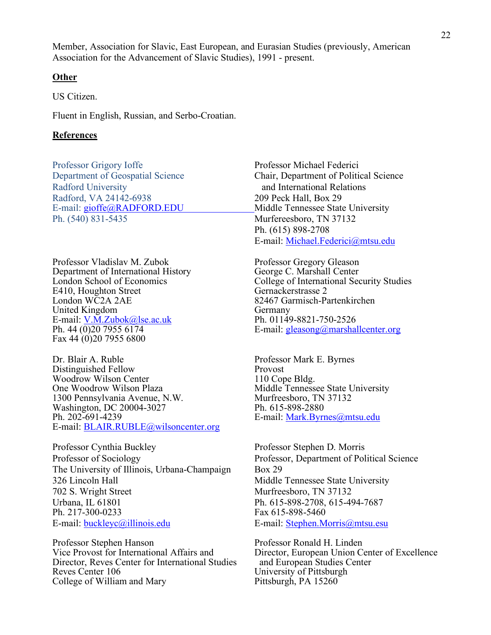Member, Association for Slavic, East European, and Eurasian Studies (previously, American Association for the Advancement of Slavic Studies), 1991 - present.

#### **Other**

US Citizen.

Fluent in English, Russian, and Serbo-Croatian.

#### **References**

Professor Grigory Ioffe **Professor Michael Federici** Radford University **and International Relations** Radford, VA 24142-6938 209 Peck Hall, Box 29 Ph. (540) 831-5435 Murfereesboro, TN 37132

Professor Vladislav M. Zubok Professor Gregory Gleason Department of International History George C. Marshall Center E410, Houghton Street<br>London WC2A 2AE United Kingdom<br>
E-mail: V.M.Zubok@lse.ac.uk<br>
Ph. 01149-8821-750-2526 E-mail: <u>V.M.Zubok@lse.ac.uk</u><br>Ph. 44 (0)20 7955 6174 Fax 44 (0)20 7955 6800

Dr. Blair A. Ruble Professor Mark E. Byrnes Distinguished Fellow Provost<br>Woodrow Wilson Center 110 Cope Bldg. Woodrow Wilson Center<br>One Woodrow Wilson Plaza 1300 Pennsylvania Avenue, N.W. Murfreesboro, TN<br>Washington, DC 20004-3027 Ph. 615-898-2880 Washington, DC 20004-3027<br>
Ph. 615-898-2880<br>
E-mail: Mark.Byrnes@mtsu.edu Ph. 202-691-4239<br>E-mail: BLAIR.RUBLE@wilsoncenter.org

Professor Cynthia Buckley Professor Stephen D. Morris Professor of Sociology Professor, Department of Political Science The University of Illinois, Urbana-Champaign Box 29 326 Lincoln Hall Middle Tennessee State University 702 S. Wright Street Murfreesboro, TN 37132 Urbana, IL 61801<br>
Ph. 615-898-2708, 615-494-7687<br>
Fax 615-898-5460 E-mail: buckleyc@illinois.edu E-mail: Stephen.Morris@mtsu.esu

Professor Stephen Hanson<br>
Vice Provost for International Affairs and Director. European Union Co Director, Reves Center for International Studies Reves Center 106 University of Pittsburgh<br>
College of William and Mary Pittsburgh, PA 15260 College of William and Mary

Department of Geospatial Science Chair, Department of Political Science E-mail: gioffe@RADFORD.EDU Middle Tennessee State University Ph. (615) 898-2708 E-mail: Michael.Federici@mtsu.edu

London School of Economics<br>
E410, Houghton Street<br>
Gernackerstrasse 2 82467 Garmisch-Partenkirchen E-mail:  $gleasong@markallcenter.org$ 

Middle Tennessee State University<br>Murfreesboro, TN 37132

Fax 615-898-5460

Director, European Union Center of Excellence<br>and European Studies Center